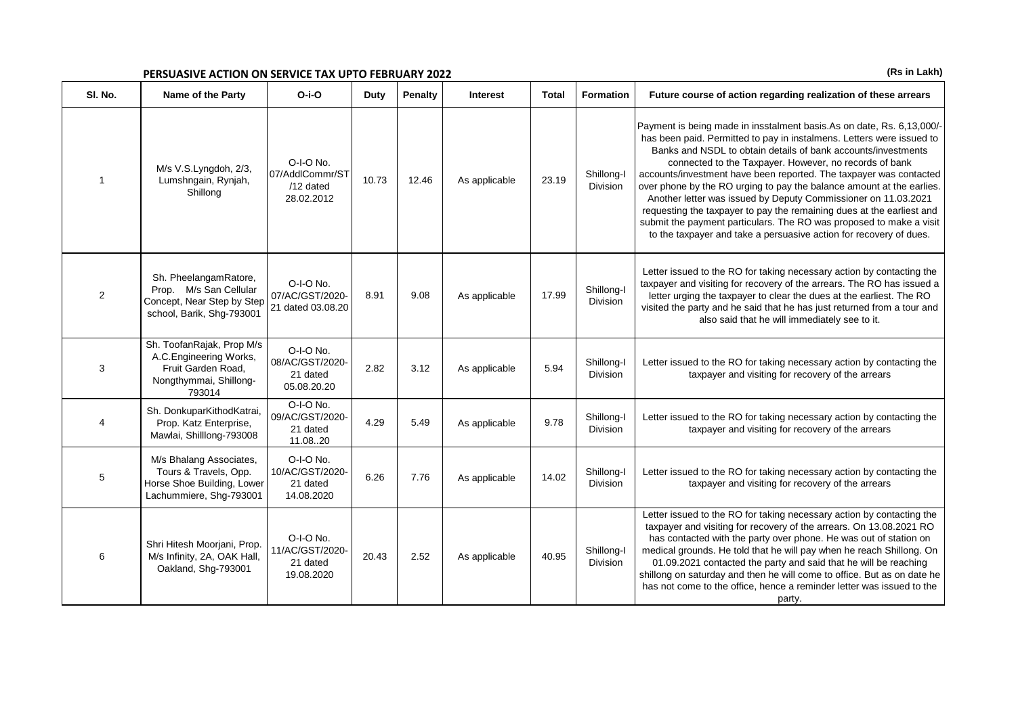## **PERSUASIVE ACTION ON SERVICE TAX UPTO FEBRUARY 2022** *(Rs in Lakh)* (Rs in Lakh)

| SI. No.        | Name of the Party                                                                                             | $O-i-O$                                                   | Duty  | Penalty | <b>Interest</b> | Total | Formation                     | Future course of action regarding realization of these arrears                                                                                                                                                                                                                                                                                                                                                                                                                                                                                                                                                                                                                                                   |
|----------------|---------------------------------------------------------------------------------------------------------------|-----------------------------------------------------------|-------|---------|-----------------|-------|-------------------------------|------------------------------------------------------------------------------------------------------------------------------------------------------------------------------------------------------------------------------------------------------------------------------------------------------------------------------------------------------------------------------------------------------------------------------------------------------------------------------------------------------------------------------------------------------------------------------------------------------------------------------------------------------------------------------------------------------------------|
|                | M/s V.S.Lyngdoh, 2/3,<br>Lumshngain, Rynjah,<br>Shillong                                                      | O-I-O No.<br>07/AddlCommr/ST<br>$/12$ dated<br>28.02.2012 | 10.73 | 12.46   | As applicable   | 23.19 | Shillong-I<br><b>Division</b> | Payment is being made in insstalment basis.As on date, Rs. 6,13,000/-<br>has been paid. Permitted to pay in instalmens. Letters were issued to<br>Banks and NSDL to obtain details of bank accounts/investments<br>connected to the Taxpayer. However, no records of bank<br>accounts/investment have been reported. The taxpayer was contacted<br>over phone by the RO urging to pay the balance amount at the earlies.<br>Another letter was issued by Deputy Commissioner on 11.03.2021<br>requesting the taxpayer to pay the remaining dues at the earliest and<br>submit the payment particulars. The RO was proposed to make a visit<br>to the taxpayer and take a persuasive action for recovery of dues. |
| 2              | Sh. PheelangamRatore,<br>Prop. M/s San Cellular<br>Concept, Near Step by Step<br>school, Barik, Shg-793001    | O-I-O No.<br>07/AC/GST/2020-<br>21 dated 03.08.20         | 8.91  | 9.08    | As applicable   | 17.99 | Shillong-I<br>Division        | Letter issued to the RO for taking necessary action by contacting the<br>taxpayer and visiting for recovery of the arrears. The RO has issued a<br>letter urging the taxpayer to clear the dues at the earliest. The RO<br>visited the party and he said that he has just returned from a tour and<br>also said that he will immediately see to it.                                                                                                                                                                                                                                                                                                                                                              |
| 3              | Sh. ToofanRajak, Prop M/s<br>A.C.Engineering Works,<br>Fruit Garden Road,<br>Nongthymmai, Shillong-<br>793014 | O-I-O No.<br>08/AC/GST/2020-<br>21 dated<br>05.08.20.20   | 2.82  | 3.12    | As applicable   | 5.94  | Shillong-I<br><b>Division</b> | Letter issued to the RO for taking necessary action by contacting the<br>taxpayer and visiting for recovery of the arrears                                                                                                                                                                                                                                                                                                                                                                                                                                                                                                                                                                                       |
| $\overline{4}$ | Sh. DonkuparKithodKatrai,<br>Prop. Katz Enterprise,<br>Mawlai, Shilllong-793008                               | O-I-O No.<br>09/AC/GST/2020-<br>21 dated<br>11.0820       | 4.29  | 5.49    | As applicable   | 9.78  | Shillong-I<br><b>Division</b> | Letter issued to the RO for taking necessary action by contacting the<br>taxpayer and visiting for recovery of the arrears                                                                                                                                                                                                                                                                                                                                                                                                                                                                                                                                                                                       |
| $\overline{5}$ | M/s Bhalang Associates,<br>Tours & Travels, Opp.<br>Horse Shoe Building, Lower<br>Lachummiere, Shg-793001     | O-I-O No.<br>10/AC/GST/2020-<br>21 dated<br>14.08.2020    | 6.26  | 7.76    | As applicable   | 14.02 | Shillong-I<br><b>Division</b> | Letter issued to the RO for taking necessary action by contacting the<br>taxpayer and visiting for recovery of the arrears                                                                                                                                                                                                                                                                                                                                                                                                                                                                                                                                                                                       |
| 6              | Shri Hitesh Moorjani, Prop.<br>M/s Infinity, 2A, OAK Hall,<br>Oakland, Shg-793001                             | O-I-O No.<br>11/AC/GST/2020-<br>21 dated<br>19.08.2020    | 20.43 | 2.52    | As applicable   | 40.95 | Shillong-I<br><b>Division</b> | Letter issued to the RO for taking necessary action by contacting the<br>taxpayer and visiting for recovery of the arrears. On 13.08.2021 RO<br>has contacted with the party over phone. He was out of station on<br>medical grounds. He told that he will pay when he reach Shillong. On<br>01.09.2021 contacted the party and said that he will be reaching<br>shillong on saturday and then he will come to office. But as on date he<br>has not come to the office, hence a reminder letter was issued to the<br>party.                                                                                                                                                                                      |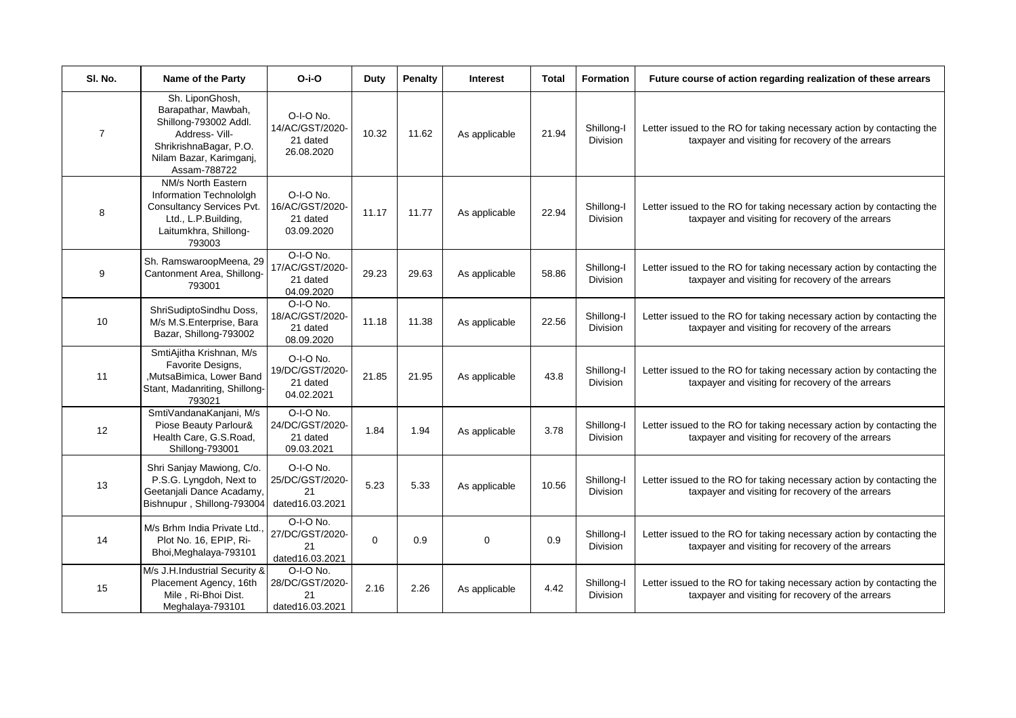| SI. No.        | Name of the Party                                                                                                                                      | $O-i-O$                                                | <b>Duty</b> | <b>Penalty</b> | <b>Interest</b> | <b>Total</b> | <b>Formation</b>              | Future course of action regarding realization of these arrears                                                             |
|----------------|--------------------------------------------------------------------------------------------------------------------------------------------------------|--------------------------------------------------------|-------------|----------------|-----------------|--------------|-------------------------------|----------------------------------------------------------------------------------------------------------------------------|
| $\overline{7}$ | Sh. LiponGhosh,<br>Barapathar, Mawbah,<br>Shillong-793002 Addl.<br>Address- Vill-<br>ShrikrishnaBagar, P.O.<br>Nilam Bazar, Karimganj,<br>Assam-788722 | O-I-O No.<br>14/AC/GST/2020-<br>21 dated<br>26.08.2020 | 10.32       | 11.62          | As applicable   | 21.94        | Shillong-I<br>Division        | Letter issued to the RO for taking necessary action by contacting the<br>taxpayer and visiting for recovery of the arrears |
| 8              | NM/s North Eastern<br>Information Technololgh<br>Consultancy Services Pvt.<br>Ltd., L.P.Building,<br>Laitumkhra, Shillong-<br>793003                   | O-I-O No.<br>16/AC/GST/2020-<br>21 dated<br>03.09.2020 | 11.17       | 11.77          | As applicable   | 22.94        | Shillong-I<br>Division        | Letter issued to the RO for taking necessary action by contacting the<br>taxpayer and visiting for recovery of the arrears |
| 9              | Sh. RamswaroopMeena, 29<br>Cantonment Area, Shillong-<br>793001                                                                                        | O-I-O No.<br>17/AC/GST/2020-<br>21 dated<br>04.09.2020 | 29.23       | 29.63          | As applicable   | 58.86        | Shillong-I<br><b>Division</b> | Letter issued to the RO for taking necessary action by contacting the<br>taxpayer and visiting for recovery of the arrears |
| 10             | ShriSudiptoSindhu Doss,<br>M/s M.S.Enterprise, Bara<br>Bazar, Shillong-793002                                                                          | O-I-O No.<br>18/AC/GST/2020-<br>21 dated<br>08.09.2020 | 11.18       | 11.38          | As applicable   | 22.56        | Shillong-I<br><b>Division</b> | Letter issued to the RO for taking necessary action by contacting the<br>taxpayer and visiting for recovery of the arrears |
| 11             | SmtiAjitha Krishnan, M/s<br>Favorite Designs,<br>,MutsaBimica, Lower Band<br>Stant, Madanriting, Shillong-<br>793021                                   | O-I-O No.<br>19/DC/GST/2020-<br>21 dated<br>04.02.2021 | 21.85       | 21.95          | As applicable   | 43.8         | Shillong-I<br><b>Division</b> | Letter issued to the RO for taking necessary action by contacting the<br>taxpayer and visiting for recovery of the arrears |
| 12             | SmtiVandanaKanjani, M/s<br>Piose Beauty Parlour&<br>Health Care, G.S.Road,<br>Shillong-793001                                                          | O-I-O No.<br>24/DC/GST/2020-<br>21 dated<br>09.03.2021 | 1.84        | 1.94           | As applicable   | 3.78         | Shillong-I<br><b>Division</b> | Letter issued to the RO for taking necessary action by contacting the<br>taxpayer and visiting for recovery of the arrears |
| 13             | Shri Sanjay Mawiong, C/o.<br>P.S.G. Lyngdoh, Next to<br>Geetanjali Dance Acadamy,<br>Bishnupur, Shillong-793004                                        | O-I-O No.<br>25/DC/GST/2020-<br>21<br>dated16.03.2021  | 5.23        | 5.33           | As applicable   | 10.56        | Shillong-I<br>Division        | Letter issued to the RO for taking necessary action by contacting the<br>taxpayer and visiting for recovery of the arrears |
| 14             | M/s Brhm India Private Ltd<br>Plot No. 16, EPIP, Ri-<br>Bhoi, Meghalaya-793101                                                                         | O-I-O No.<br>27/DC/GST/2020-<br>21<br>dated16.03.2021  | $\Omega$    | 0.9            | 0               | 0.9          | Shillong-I<br><b>Division</b> | Letter issued to the RO for taking necessary action by contacting the<br>taxpayer and visiting for recovery of the arrears |
| 15             | M/s J.H.Industrial Security &<br>Placement Agency, 16th<br>Mile, Ri-Bhoi Dist.<br>Meghalaya-793101                                                     | O-I-O No.<br>28/DC/GST/2020-<br>21<br>dated16.03.2021  | 2.16        | 2.26           | As applicable   | 4.42         | Shillong-I<br>Division        | Letter issued to the RO for taking necessary action by contacting the<br>taxpayer and visiting for recovery of the arrears |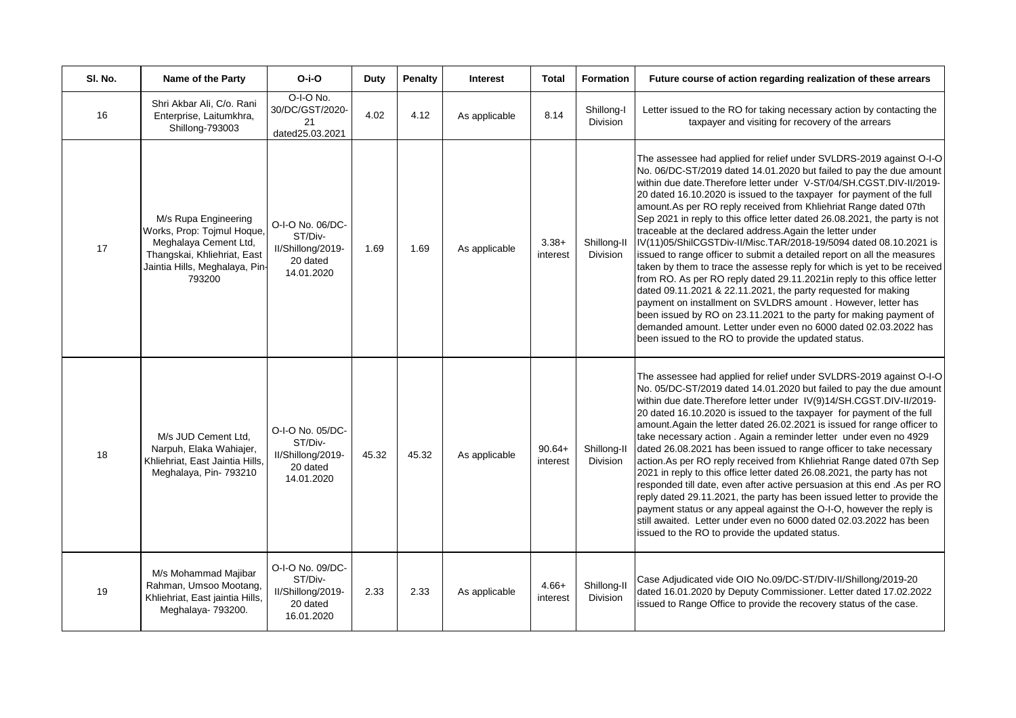| SI. No. | Name of the Party                                                                                                                                      | $O-i-O$                                                                    | Duty  | Penalty | <b>Interest</b> | <b>Total</b>         | <b>Formation</b>               | Future course of action regarding realization of these arrears                                                                                                                                                                                                                                                                                                                                                                                                                                                                                                                                                                                                                                                                                                                                                                                                                                                                                                                                                                                                                                                                                        |
|---------|--------------------------------------------------------------------------------------------------------------------------------------------------------|----------------------------------------------------------------------------|-------|---------|-----------------|----------------------|--------------------------------|-------------------------------------------------------------------------------------------------------------------------------------------------------------------------------------------------------------------------------------------------------------------------------------------------------------------------------------------------------------------------------------------------------------------------------------------------------------------------------------------------------------------------------------------------------------------------------------------------------------------------------------------------------------------------------------------------------------------------------------------------------------------------------------------------------------------------------------------------------------------------------------------------------------------------------------------------------------------------------------------------------------------------------------------------------------------------------------------------------------------------------------------------------|
| 16      | Shri Akbar Ali, C/o. Rani<br>Enterprise, Laitumkhra,<br>Shillong-793003                                                                                | O-I-O No.<br>30/DC/GST/2020-<br>21<br>dated25.03.2021                      | 4.02  | 4.12    | As applicable   | 8.14                 | Shillong-I<br><b>Division</b>  | Letter issued to the RO for taking necessary action by contacting the<br>taxpayer and visiting for recovery of the arrears                                                                                                                                                                                                                                                                                                                                                                                                                                                                                                                                                                                                                                                                                                                                                                                                                                                                                                                                                                                                                            |
| 17      | M/s Rupa Engineering<br>Works, Prop: Tojmul Hoque,<br>Meghalaya Cement Ltd,<br>Thangskai, Khliehriat, East<br>Jaintia Hills, Meghalaya, Pin-<br>793200 | O-I-O No. 06/DC-<br>ST/Div-<br>II/Shillong/2019-<br>20 dated<br>14.01.2020 | 1.69  | 1.69    | As applicable   | $3.38+$<br>interest  | Shillong-II<br><b>Division</b> | The assessee had applied for relief under SVLDRS-2019 against O-I-O<br>No. 06/DC-ST/2019 dated 14.01.2020 but failed to pay the due amount<br>within due date. Therefore letter under V-ST/04/SH.CGST.DIV-II/2019-<br>20 dated 16.10.2020 is issued to the taxpayer for payment of the full<br>amount.As per RO reply received from Khliehriat Range dated 07th<br>Sep 2021 in reply to this office letter dated 26.08.2021, the party is not<br>traceable at the declared address. Again the letter under<br>IV(11)05/ShilCGSTDiv-II/Misc.TAR/2018-19/5094 dated 08.10.2021 is<br>issued to range officer to submit a detailed report on all the measures<br>taken by them to trace the assesse reply for which is yet to be received<br>from RO. As per RO reply dated 29.11.2021 in reply to this office letter<br>dated 09.11.2021 & 22.11.2021, the party requested for making<br>payment on installment on SVLDRS amount . However, letter has<br>been issued by RO on 23.11.2021 to the party for making payment of<br>demanded amount. Letter under even no 6000 dated 02.03.2022 has<br>been issued to the RO to provide the updated status. |
| 18      | M/s JUD Cement Ltd,<br>Narpuh, Elaka Wahiajer,<br>Khliehriat, East Jaintia Hills,<br>Meghalaya, Pin- 793210                                            | O-I-O No. 05/DC-<br>ST/Div-<br>II/Shillong/2019-<br>20 dated<br>14.01.2020 | 45.32 | 45.32   | As applicable   | $90.64+$<br>interest | Shillong-II<br><b>Division</b> | The assessee had applied for relief under SVLDRS-2019 against O-I-O<br>No. 05/DC-ST/2019 dated 14.01.2020 but failed to pay the due amount<br>within due date. Therefore letter under IV(9)14/SH.CGST.DIV-II/2019-<br>20 dated 16.10.2020 is issued to the taxpayer for payment of the full<br>amount. Again the letter dated 26.02.2021 is issued for range officer to<br>take necessary action. Again a reminder letter under even no 4929<br>dated 26.08.2021 has been issued to range officer to take necessary<br>action. As per RO reply received from Khliehriat Range dated 07th Sep<br>2021 in reply to this office letter dated 26.08.2021, the party has not<br>responded till date, even after active persuasion at this end .As per RO<br>reply dated 29.11.2021, the party has been issued letter to provide the<br>payment status or any appeal against the O-I-O, however the reply is<br>still awaited. Letter under even no 6000 dated 02.03.2022 has been<br>issued to the RO to provide the updated status.                                                                                                                       |
| 19      | M/s Mohammad Majibar<br>Rahman, Umsoo Mootang,<br>Khliehriat, East jaintia Hills,<br>Meghalaya- 793200.                                                | O-I-O No. 09/DC-<br>ST/Div-<br>II/Shillong/2019-<br>20 dated<br>16.01.2020 | 2.33  | 2.33    | As applicable   | $4.66+$<br>interest  | Shillong-II<br>Division        | Case Adjudicated vide OIO No.09/DC-ST/DIV-II/Shillong/2019-20<br>dated 16.01.2020 by Deputy Commissioner. Letter dated 17.02.2022<br>issued to Range Office to provide the recovery status of the case.                                                                                                                                                                                                                                                                                                                                                                                                                                                                                                                                                                                                                                                                                                                                                                                                                                                                                                                                               |